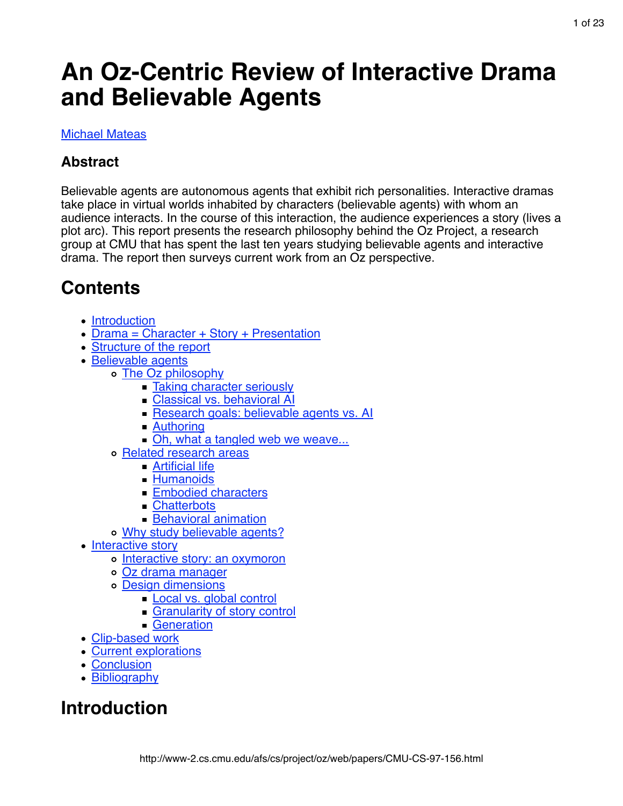# **An Oz-Centric Review of Interactive Drama and Believable Agents**

Michael Mateas

### **Abstract**

Believable agents are autonomous agents that exhibit rich personalities. Interactive dramas take place in virtual worlds inhabited by characters (believable agents) with whom an audience interacts. In the course of this interaction, the audience experiences a story (lives a plot arc). This report presents the research philosophy behind the Oz Project, a research group at CMU that has spent the last ten years studying believable agents and interactive drama. The report then surveys current work from an Oz perspective.

## **Contents**

- Introduction
- Drama = Character + Story + Presentation
- Structure of the report
- Believable agents
	- The Oz philosophy
		- **Taking character seriously**
		- Classical vs. behavioral AI
		- **Research goals: believable agents vs. All**
		- Authoring
		- Oh, what a tangled web we weave...
		- Related research areas
			- Artificial life
			- **Humanoids**
			- **Embodied characters**
			- Chatterbots
			- **Behavioral animation**
		- Why study believable agents?
- Interactive story
	- o Interactive story: an oxymoron
	- Oz drama manager
	- Design dimensions
		- **Local vs. global control**
		- **Granularity of story control**
		- **Generation**
- Clip-based work
- Current explorations
- Conclusion
- Bibliography

## **Introduction**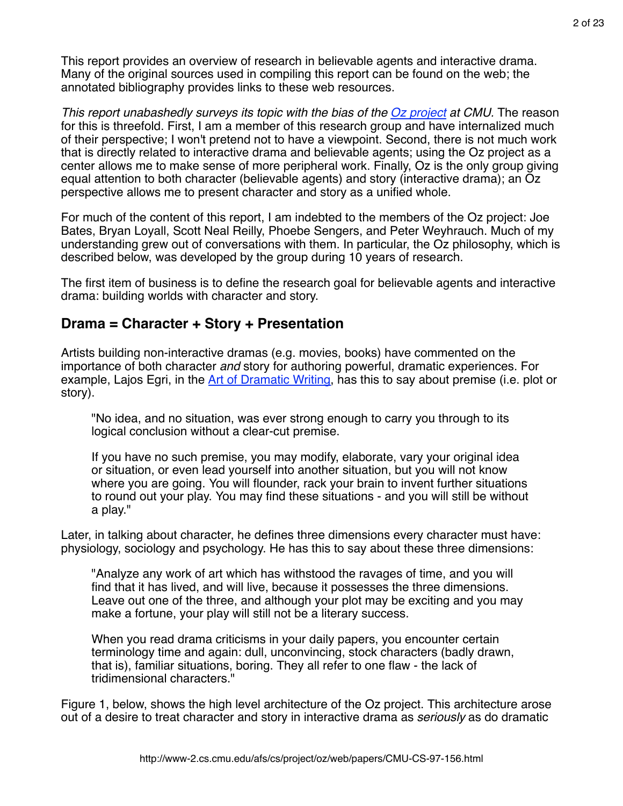This report provides an overview of research in believable agents and interactive drama. Many of the original sources used in compiling this report can be found on the web; the annotated bibliography provides links to these web resources.

*This report unabashedly surveys its topic with the bias of the Oz project at CMU.* The reason for this is threefold. First, I am a member of this research group and have internalized much of their perspective; I won't pretend not to have a viewpoint. Second, there is not much work that is directly related to interactive drama and believable agents; using the Oz project as a center allows me to make sense of more peripheral work. Finally, Oz is the only group giving equal attention to both character (believable agents) and story (interactive drama); an Oz perspective allows me to present character and story as a unified whole.

For much of the content of this report, I am indebted to the members of the Oz project: Joe Bates, Bryan Loyall, Scott Neal Reilly, Phoebe Sengers, and Peter Weyhrauch. Much of my understanding grew out of conversations with them. In particular, the Oz philosophy, which is described below, was developed by the group during 10 years of research.

The first item of business is to define the research goal for believable agents and interactive drama: building worlds with character and story.

### **Drama = Character + Story + Presentation**

Artists building non-interactive dramas (e.g. movies, books) have commented on the importance of both character *and* story for authoring powerful, dramatic experiences. For example, Lajos Egri, in the Art of Dramatic Writing, has this to say about premise (i.e. plot or story).

"No idea, and no situation, was ever strong enough to carry you through to its logical conclusion without a clear-cut premise.

If you have no such premise, you may modify, elaborate, vary your original idea or situation, or even lead yourself into another situation, but you will not know where you are going. You will flounder, rack your brain to invent further situations to round out your play. You may find these situations - and you will still be without a play."

Later, in talking about character, he defines three dimensions every character must have: physiology, sociology and psychology. He has this to say about these three dimensions:

"Analyze any work of art which has withstood the ravages of time, and you will find that it has lived, and will live, because it possesses the three dimensions. Leave out one of the three, and although your plot may be exciting and you may make a fortune, your play will still not be a literary success.

When you read drama criticisms in your daily papers, you encounter certain terminology time and again: dull, unconvincing, stock characters (badly drawn, that is), familiar situations, boring. They all refer to one flaw - the lack of tridimensional characters."

Figure 1, below, shows the high level architecture of the Oz project. This architecture arose out of a desire to treat character and story in interactive drama as *seriously* as do dramatic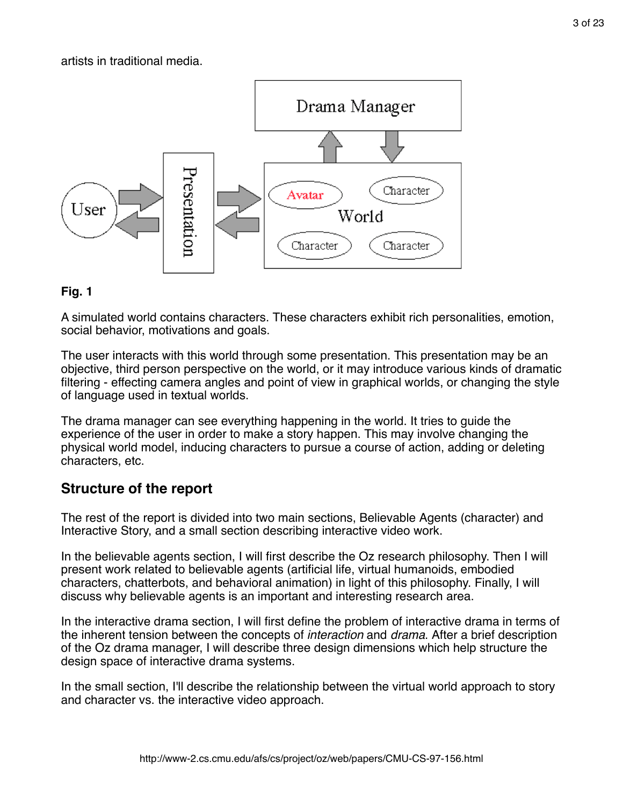artists in traditional media.



#### **Fig. 1**

A simulated world contains characters. These characters exhibit rich personalities, emotion, social behavior, motivations and goals.

The user interacts with this world through some presentation. This presentation may be an objective, third person perspective on the world, or it may introduce various kinds of dramatic filtering - effecting camera angles and point of view in graphical worlds, or changing the style of language used in textual worlds.

The drama manager can see everything happening in the world. It tries to guide the experience of the user in order to make a story happen. This may involve changing the physical world model, inducing characters to pursue a course of action, adding or deleting characters, etc.

#### **Structure of the report**

The rest of the report is divided into two main sections, Believable Agents (character) and Interactive Story, and a small section describing interactive video work.

In the believable agents section, I will first describe the Oz research philosophy. Then I will present work related to believable agents (artificial life, virtual humanoids, embodied characters, chatterbots, and behavioral animation) in light of this philosophy. Finally, I will discuss why believable agents is an important and interesting research area.

In the interactive drama section, I will first define the problem of interactive drama in terms of the inherent tension between the concepts of *interaction* and *drama*. After a brief description of the Oz drama manager, I will describe three design dimensions which help structure the design space of interactive drama systems.

In the small section, I'll describe the relationship between the virtual world approach to story and character vs. the interactive video approach.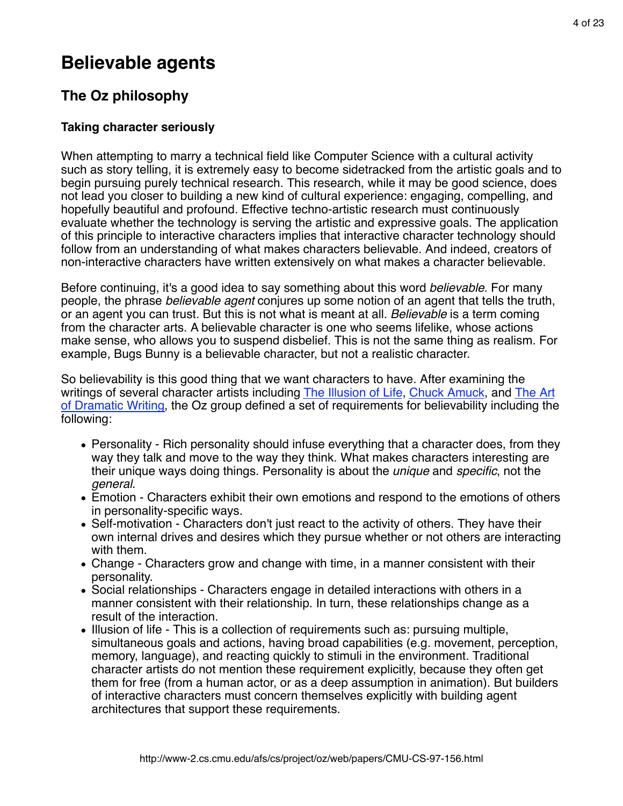## **Believable agents**

### **The Oz philosophy**

#### **Taking character seriously**

When attempting to marry a technical field like Computer Science with a cultural activity such as story telling, it is extremely easy to become sidetracked from the artistic goals and to begin pursuing purely technical research. This research, while it may be good science, does not lead you closer to building a new kind of cultural experience: engaging, compelling, and hopefully beautiful and profound. Effective techno-artistic research must continuously evaluate whether the technology is serving the artistic and expressive goals. The application of this principle to interactive characters implies that interactive character technology should follow from an understanding of what makes characters believable. And indeed, creators of non-interactive characters have written extensively on what makes a character believable.

Before continuing, it's a good idea to say something about this word *believable*. For many people, the phrase *believable agent* conjures up some notion of an agent that tells the truth, or an agent you can trust. But this is not what is meant at all. *Believable* is a term coming from the character arts. A believable character is one who seems lifelike, whose actions make sense, who allows you to suspend disbelief. This is not the same thing as realism. For example, Bugs Bunny is a believable character, but not a realistic character.

So believability is this good thing that we want characters to have. After examining the writings of several character artists including The Illusion of Life, Chuck Amuck, and The Art of Dramatic Writing, the Oz group defined a set of requirements for believability including the following:

- Personality Rich personality should infuse everything that a character does, from they way they talk and move to the way they think. What makes characters interesting are their unique ways doing things. Personality is about the *unique* and *specific*, not the *general*.
- Emotion Characters exhibit their own emotions and respond to the emotions of others in personality-specific ways.
- Self-motivation Characters don't just react to the activity of others. They have their own internal drives and desires which they pursue whether or not others are interacting with them.
- Change Characters grow and change with time, in a manner consistent with their personality.
- Social relationships Characters engage in detailed interactions with others in a manner consistent with their relationship. In turn, these relationships change as a result of the interaction.
- Illusion of life This is a collection of requirements such as: pursuing multiple, simultaneous goals and actions, having broad capabilities (e.g. movement, perception, memory, language), and reacting quickly to stimuli in the environment. Traditional character artists do not mention these requirement explicitly, because they often get them for free (from a human actor, or as a deep assumption in animation). But builders of interactive characters must concern themselves explicitly with building agent architectures that support these requirements.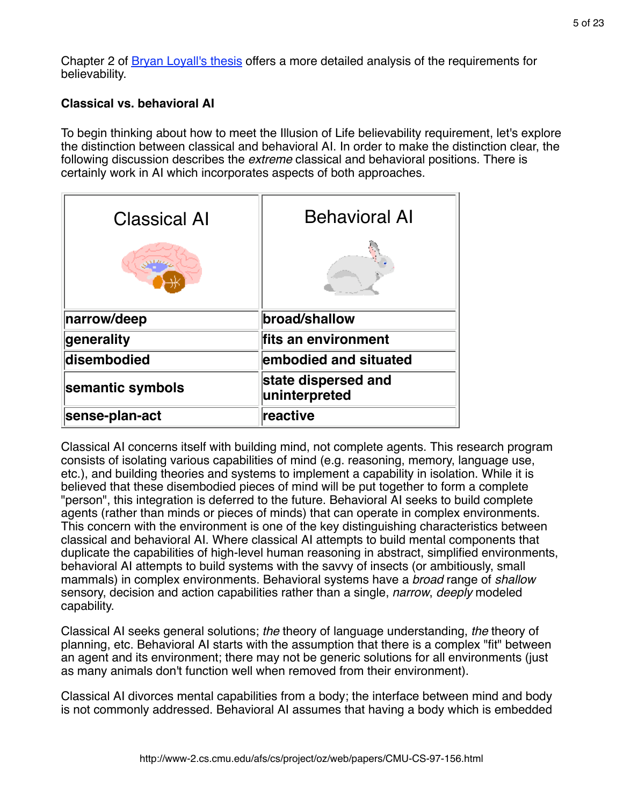#### **Classical vs. behavioral AI**

To begin thinking about how to meet the Illusion of Life believability requirement, let's explore the distinction between classical and behavioral AI. In order to make the distinction clear, the following discussion describes the *extreme* classical and behavioral positions. There is certainly work in AI which incorporates aspects of both approaches.

| <b>Classical AI</b> | <b>Behavioral AI</b>                 |
|---------------------|--------------------------------------|
|                     |                                      |
| narrow/deep         | broad/shallow                        |
| generality          | fits an environment                  |
| disembodied         | embodied and situated                |
| semantic symbols    | state dispersed and<br>uninterpreted |
| sense-plan-act      | <b>reactive</b>                      |

Classical AI concerns itself with building mind, not complete agents. This research program consists of isolating various capabilities of mind (e.g. reasoning, memory, language use, etc.), and building theories and systems to implement a capability in isolation. While it is believed that these disembodied pieces of mind will be put together to form a complete "person", this integration is deferred to the future. Behavioral AI seeks to build complete agents (rather than minds or pieces of minds) that can operate in complex environments. This concern with the environment is one of the key distinguishing characteristics between classical and behavioral AI. Where classical AI attempts to build mental components that duplicate the capabilities of high-level human reasoning in abstract, simplified environments, behavioral AI attempts to build systems with the savvy of insects (or ambitiously, small mammals) in complex environments. Behavioral systems have a *broad* range of *shallow* sensory, decision and action capabilities rather than a single, *narrow*, *deeply* modeled capability.

Classical AI seeks general solutions; *the* theory of language understanding, *the* theory of planning, etc. Behavioral AI starts with the assumption that there is a complex "fit" between an agent and its environment; there may not be generic solutions for all environments (just as many animals don't function well when removed from their environment).

Classical AI divorces mental capabilities from a body; the interface between mind and body is not commonly addressed. Behavioral AI assumes that having a body which is embedded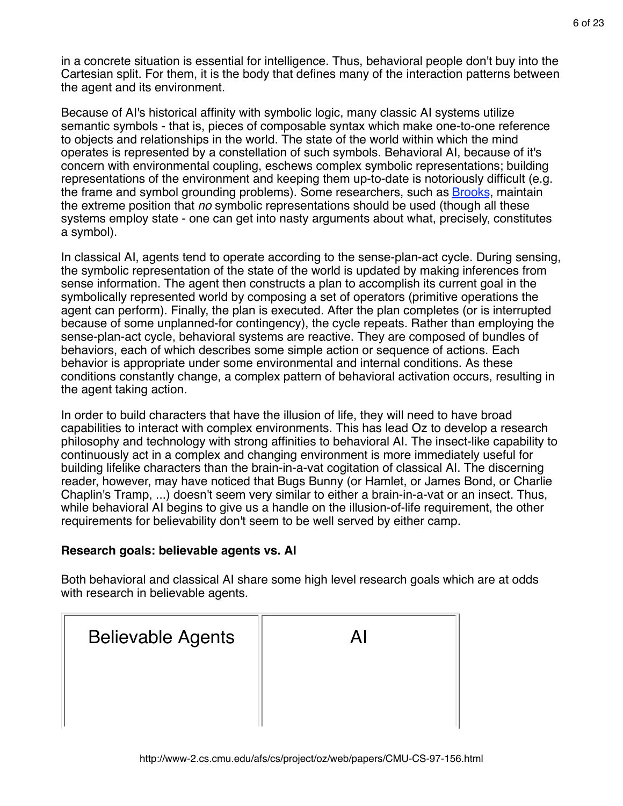in a concrete situation is essential for intelligence. Thus, behavioral people don't buy into the Cartesian split. For them, it is the body that defines many of the interaction patterns between the agent and its environment.

Because of AI's historical affinity with symbolic logic, many classic AI systems utilize semantic symbols - that is, pieces of composable syntax which make one-to-one reference to objects and relationships in the world. The state of the world within which the mind operates is represented by a constellation of such symbols. Behavioral AI, because of it's concern with environmental coupling, eschews complex symbolic representations; building representations of the environment and keeping them up-to-date is notoriously difficult (e.g. the frame and symbol grounding problems). Some researchers, such as Brooks, maintain the extreme position that *no* symbolic representations should be used (though all these systems employ state - one can get into nasty arguments about what, precisely, constitutes a symbol).

In classical AI, agents tend to operate according to the sense-plan-act cycle. During sensing, the symbolic representation of the state of the world is updated by making inferences from sense information. The agent then constructs a plan to accomplish its current goal in the symbolically represented world by composing a set of operators (primitive operations the agent can perform). Finally, the plan is executed. After the plan completes (or is interrupted because of some unplanned-for contingency), the cycle repeats. Rather than employing the sense-plan-act cycle, behavioral systems are reactive. They are composed of bundles of behaviors, each of which describes some simple action or sequence of actions. Each behavior is appropriate under some environmental and internal conditions. As these conditions constantly change, a complex pattern of behavioral activation occurs, resulting in the agent taking action.

In order to build characters that have the illusion of life, they will need to have broad capabilities to interact with complex environments. This has lead Oz to develop a research philosophy and technology with strong affinities to behavioral AI. The insect-like capability to continuously act in a complex and changing environment is more immediately useful for building lifelike characters than the brain-in-a-vat cogitation of classical AI. The discerning reader, however, may have noticed that Bugs Bunny (or Hamlet, or James Bond, or Charlie Chaplin's Tramp, ...) doesn't seem very similar to either a brain-in-a-vat or an insect. Thus, while behavioral AI begins to give us a handle on the illusion-of-life requirement, the other requirements for believability don't seem to be well served by either camp.

#### **Research goals: believable agents vs. AI**

Both behavioral and classical AI share some high level research goals which are at odds with research in believable agents.

| <b>Believable Agents</b> |  |
|--------------------------|--|
|                          |  |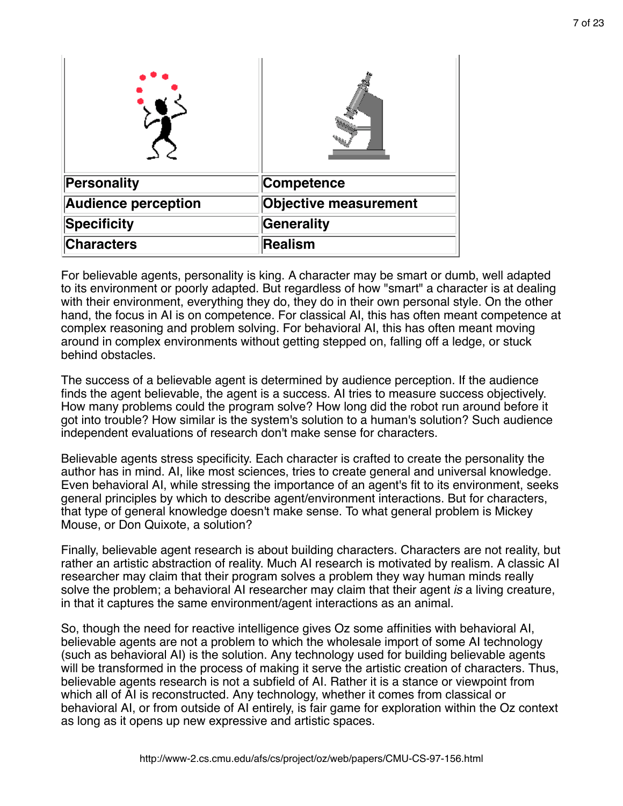| Personality                | Competence                   |
|----------------------------|------------------------------|
| <b>Audience perception</b> | <b>Objective measurement</b> |
| <b>Specificity</b>         | Generality                   |
| <b>Characters</b>          | <b>Realism</b>               |

For believable agents, personality is king. A character may be smart or dumb, well adapted to its environment or poorly adapted. But regardless of how "smart" a character is at dealing with their environment, everything they do, they do in their own personal style. On the other hand, the focus in AI is on competence. For classical AI, this has often meant competence at complex reasoning and problem solving. For behavioral AI, this has often meant moving around in complex environments without getting stepped on, falling off a ledge, or stuck behind obstacles.

The success of a believable agent is determined by audience perception. If the audience finds the agent believable, the agent is a success. AI tries to measure success objectively. How many problems could the program solve? How long did the robot run around before it got into trouble? How similar is the system's solution to a human's solution? Such audience independent evaluations of research don't make sense for characters.

Believable agents stress specificity. Each character is crafted to create the personality the author has in mind. AI, like most sciences, tries to create general and universal knowledge. Even behavioral AI, while stressing the importance of an agent's fit to its environment, seeks general principles by which to describe agent/environment interactions. But for characters, that type of general knowledge doesn't make sense. To what general problem is Mickey Mouse, or Don Quixote, a solution?

Finally, believable agent research is about building characters. Characters are not reality, but rather an artistic abstraction of reality. Much AI research is motivated by realism. A classic AI researcher may claim that their program solves a problem they way human minds really solve the problem; a behavioral AI researcher may claim that their agent *is* a living creature, in that it captures the same environment/agent interactions as an animal.

So, though the need for reactive intelligence gives Oz some affinities with behavioral AI, believable agents are not a problem to which the wholesale import of some AI technology (such as behavioral AI) is the solution. Any technology used for building believable agents will be transformed in the process of making it serve the artistic creation of characters. Thus, believable agents research is not a subfield of AI. Rather it is a stance or viewpoint from which all of AI is reconstructed. Any technology, whether it comes from classical or behavioral AI, or from outside of AI entirely, is fair game for exploration within the Oz context as long as it opens up new expressive and artistic spaces.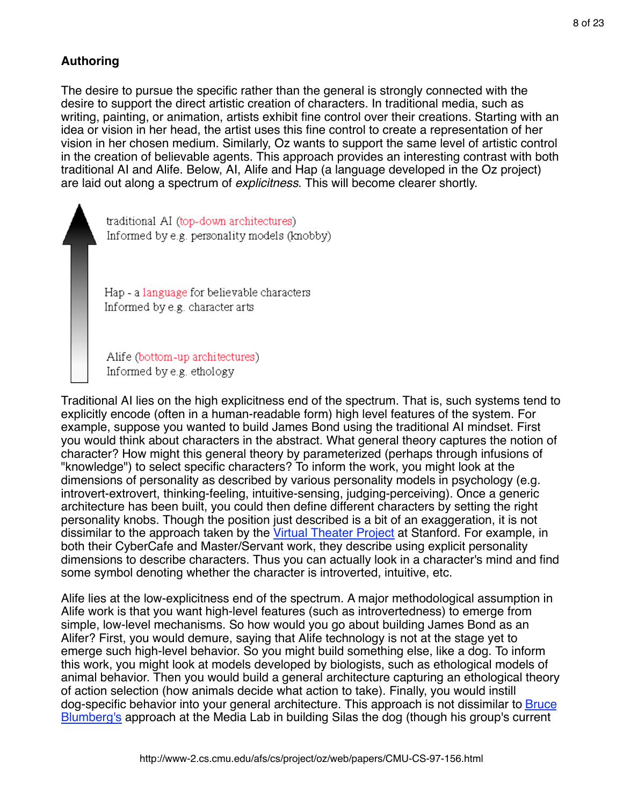#### **Authoring**

The desire to pursue the specific rather than the general is strongly connected with the desire to support the direct artistic creation of characters. In traditional media, such as writing, painting, or animation, artists exhibit fine control over their creations. Starting with an idea or vision in her head, the artist uses this fine control to create a representation of her vision in her chosen medium. Similarly, Oz wants to support the same level of artistic control in the creation of believable agents. This approach provides an interesting contrast with both traditional AI and Alife. Below, AI, Alife and Hap (a language developed in the Oz project) are laid out along a spectrum of *explicitness*. This will become clearer shortly.

traditional AI (top-down architectures) Informed by e.g. personality models (knobby) Hap - a language for believable characters Informed by e.g. character arts Alife (bottom-up architectures)

Informed by e.g. ethology

Traditional AI lies on the high explicitness end of the spectrum. That is, such systems tend to explicitly encode (often in a human-readable form) high level features of the system. For example, suppose you wanted to build James Bond using the traditional AI mindset. First you would think about characters in the abstract. What general theory captures the notion of character? How might this general theory by parameterized (perhaps through infusions of "knowledge") to select specific characters? To inform the work, you might look at the dimensions of personality as described by various personality models in psychology (e.g. introvert-extrovert, thinking-feeling, intuitive-sensing, judging-perceiving). Once a generic architecture has been built, you could then define different characters by setting the right personality knobs. Though the position just described is a bit of an exaggeration, it is not dissimilar to the approach taken by the Virtual Theater Project at Stanford. For example, in both their CyberCafe and Master/Servant work, they describe using explicit personality dimensions to describe characters. Thus you can actually look in a character's mind and find some symbol denoting whether the character is introverted, intuitive, etc.

Alife lies at the low-explicitness end of the spectrum. A major methodological assumption in Alife work is that you want high-level features (such as introvertedness) to emerge from simple, low-level mechanisms. So how would you go about building James Bond as an Alifer? First, you would demure, saying that Alife technology is not at the stage yet to emerge such high-level behavior. So you might build something else, like a dog. To inform this work, you might look at models developed by biologists, such as ethological models of animal behavior. Then you would build a general architecture capturing an ethological theory of action selection (how animals decide what action to take). Finally, you would instill dog-specific behavior into your general architecture. This approach is not dissimilar to **Bruce** Blumberg's approach at the Media Lab in building Silas the dog (though his group's current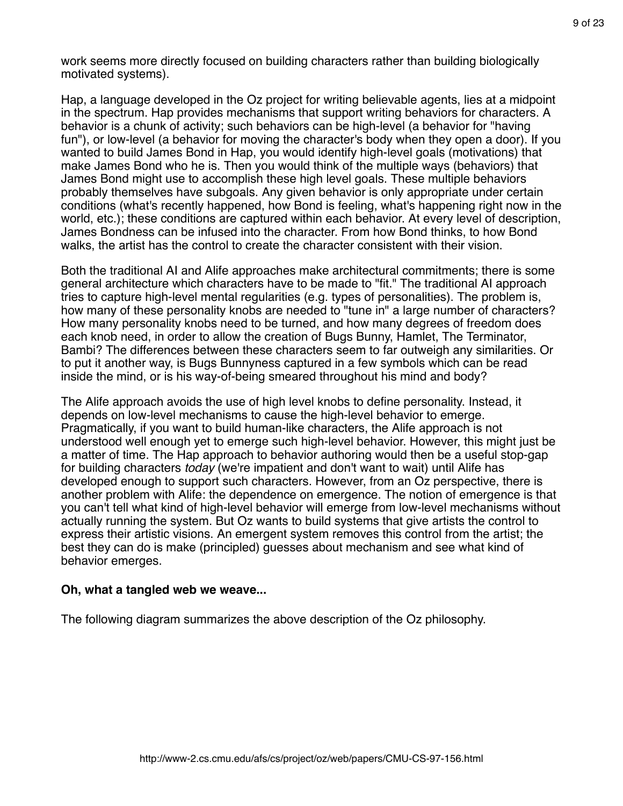work seems more directly focused on building characters rather than building biologically motivated systems).

Hap, a language developed in the Oz project for writing believable agents, lies at a midpoint in the spectrum. Hap provides mechanisms that support writing behaviors for characters. A behavior is a chunk of activity; such behaviors can be high-level (a behavior for "having fun"), or low-level (a behavior for moving the character's body when they open a door). If you wanted to build James Bond in Hap, you would identify high-level goals (motivations) that make James Bond who he is. Then you would think of the multiple ways (behaviors) that James Bond might use to accomplish these high level goals. These multiple behaviors probably themselves have subgoals. Any given behavior is only appropriate under certain conditions (what's recently happened, how Bond is feeling, what's happening right now in the world, etc.); these conditions are captured within each behavior. At every level of description, James Bondness can be infused into the character. From how Bond thinks, to how Bond walks, the artist has the control to create the character consistent with their vision.

Both the traditional AI and Alife approaches make architectural commitments; there is some general architecture which characters have to be made to "fit." The traditional AI approach tries to capture high-level mental regularities (e.g. types of personalities). The problem is, how many of these personality knobs are needed to "tune in" a large number of characters? How many personality knobs need to be turned, and how many degrees of freedom does each knob need, in order to allow the creation of Bugs Bunny, Hamlet, The Terminator, Bambi? The differences between these characters seem to far outweigh any similarities. Or to put it another way, is Bugs Bunnyness captured in a few symbols which can be read inside the mind, or is his way-of-being smeared throughout his mind and body?

The Alife approach avoids the use of high level knobs to define personality. Instead, it depends on low-level mechanisms to cause the high-level behavior to emerge. Pragmatically, if you want to build human-like characters, the Alife approach is not understood well enough yet to emerge such high-level behavior. However, this might just be a matter of time. The Hap approach to behavior authoring would then be a useful stop-gap for building characters *today* (we're impatient and don't want to wait) until Alife has developed enough to support such characters. However, from an Oz perspective, there is another problem with Alife: the dependence on emergence. The notion of emergence is that you can't tell what kind of high-level behavior will emerge from low-level mechanisms without actually running the system. But Oz wants to build systems that give artists the control to express their artistic visions. An emergent system removes this control from the artist; the best they can do is make (principled) guesses about mechanism and see what kind of behavior emerges.

#### **Oh, what a tangled web we weave...**

The following diagram summarizes the above description of the Oz philosophy.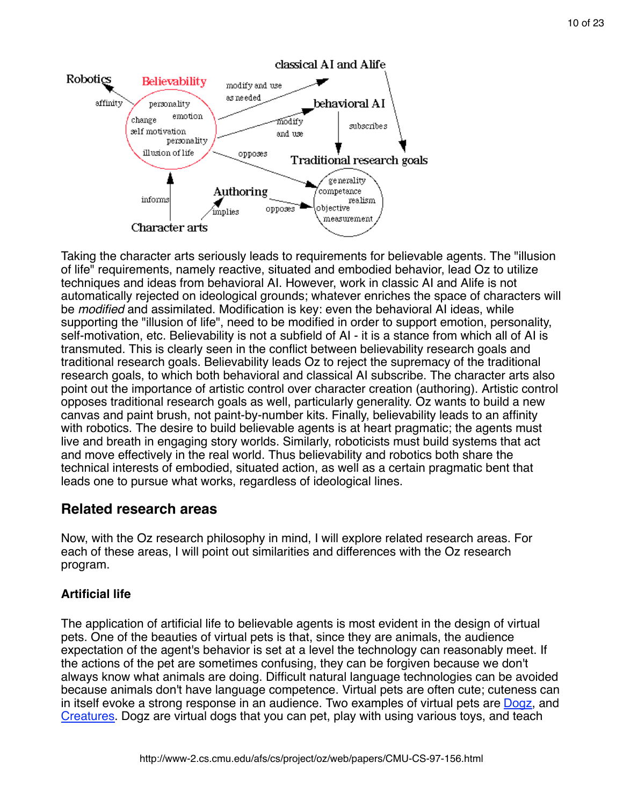

Taking the character arts seriously leads to requirements for believable agents. The "illusion of life" requirements, namely reactive, situated and embodied behavior, lead Oz to utilize techniques and ideas from behavioral AI. However, work in classic AI and Alife is not automatically rejected on ideological grounds; whatever enriches the space of characters will be *modified* and assimilated. Modification is key: even the behavioral AI ideas, while supporting the "illusion of life", need to be modified in order to support emotion, personality, self-motivation, etc. Believability is not a subfield of AI - it is a stance from which all of AI is transmuted. This is clearly seen in the conflict between believability research goals and traditional research goals. Believability leads Oz to reject the supremacy of the traditional research goals, to which both behavioral and classical AI subscribe. The character arts also point out the importance of artistic control over character creation (authoring). Artistic control opposes traditional research goals as well, particularly generality. Oz wants to build a new canvas and paint brush, not paint-by-number kits. Finally, believability leads to an affinity with robotics. The desire to build believable agents is at heart pragmatic; the agents must live and breath in engaging story worlds. Similarly, roboticists must build systems that act and move effectively in the real world. Thus believability and robotics both share the technical interests of embodied, situated action, as well as a certain pragmatic bent that leads one to pursue what works, regardless of ideological lines.

#### **Related research areas**

Now, with the Oz research philosophy in mind, I will explore related research areas. For each of these areas, I will point out similarities and differences with the Oz research program.

#### **Artificial life**

The application of artificial life to believable agents is most evident in the design of virtual pets. One of the beauties of virtual pets is that, since they are animals, the audience expectation of the agent's behavior is set at a level the technology can reasonably meet. If the actions of the pet are sometimes confusing, they can be forgiven because we don't always know what animals are doing. Difficult natural language technologies can be avoided because animals don't have language competence. Virtual pets are often cute; cuteness can in itself evoke a strong response in an audience. Two examples of virtual pets are Dogz, and Creatures. Dogz are virtual dogs that you can pet, play with using various toys, and teach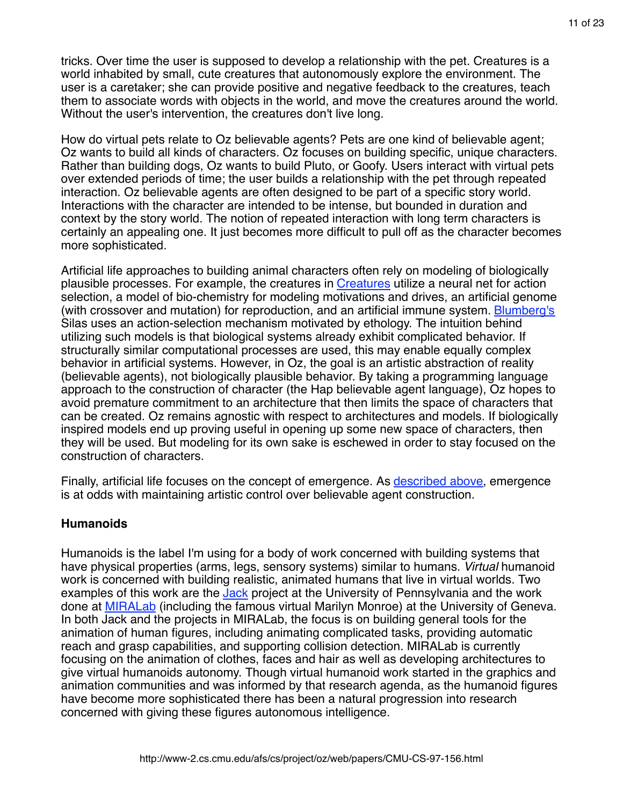tricks. Over time the user is supposed to develop a relationship with the pet. Creatures is a world inhabited by small, cute creatures that autonomously explore the environment. The user is a caretaker; she can provide positive and negative feedback to the creatures, teach them to associate words with objects in the world, and move the creatures around the world. Without the user's intervention, the creatures don't live long.

How do virtual pets relate to Oz believable agents? Pets are one kind of believable agent; Oz wants to build all kinds of characters. Oz focuses on building specific, unique characters. Rather than building dogs, Oz wants to build Pluto, or Goofy. Users interact with virtual pets over extended periods of time; the user builds a relationship with the pet through repeated interaction. Oz believable agents are often designed to be part of a specific story world. Interactions with the character are intended to be intense, but bounded in duration and context by the story world. The notion of repeated interaction with long term characters is certainly an appealing one. It just becomes more difficult to pull off as the character becomes more sophisticated.

Artificial life approaches to building animal characters often rely on modeling of biologically plausible processes. For example, the creatures in Creatures utilize a neural net for action selection, a model of bio-chemistry for modeling motivations and drives, an artificial genome (with crossover and mutation) for reproduction, and an artificial immune system. Blumberg's Silas uses an action-selection mechanism motivated by ethology. The intuition behind utilizing such models is that biological systems already exhibit complicated behavior. If structurally similar computational processes are used, this may enable equally complex behavior in artificial systems. However, in Oz, the goal is an artistic abstraction of reality (believable agents), not biologically plausible behavior. By taking a programming language approach to the construction of character (the Hap believable agent language), Oz hopes to avoid premature commitment to an architecture that then limits the space of characters that can be created. Oz remains agnostic with respect to architectures and models. If biologically inspired models end up proving useful in opening up some new space of characters, then they will be used. But modeling for its own sake is eschewed in order to stay focused on the construction of characters.

Finally, artificial life focuses on the concept of emergence. As described above, emergence is at odds with maintaining artistic control over believable agent construction.

#### **Humanoids**

Humanoids is the label I'm using for a body of work concerned with building systems that have physical properties (arms, legs, sensory systems) similar to humans. *Virtual* humanoid work is concerned with building realistic, animated humans that live in virtual worlds. Two examples of this work are the Jack project at the University of Pennsylvania and the work done at MIRALab (including the famous virtual Marilyn Monroe) at the University of Geneva. In both Jack and the projects in MIRALab, the focus is on building general tools for the animation of human figures, including animating complicated tasks, providing automatic reach and grasp capabilities, and supporting collision detection. MIRALab is currently focusing on the animation of clothes, faces and hair as well as developing architectures to give virtual humanoids autonomy. Though virtual humanoid work started in the graphics and animation communities and was informed by that research agenda, as the humanoid figures have become more sophisticated there has been a natural progression into research concerned with giving these figures autonomous intelligence.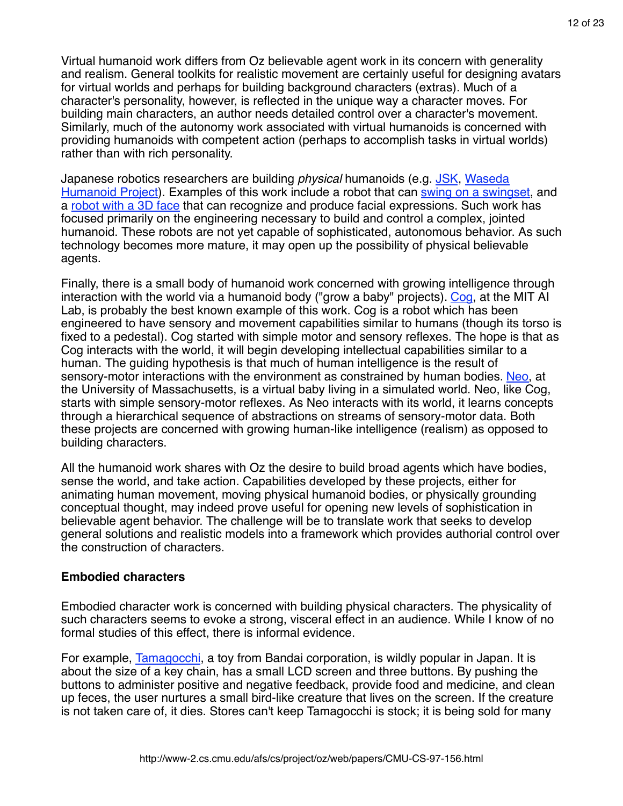Virtual humanoid work differs from Oz believable agent work in its concern with generality and realism. General toolkits for realistic movement are certainly useful for designing avatars for virtual worlds and perhaps for building background characters (extras). Much of a character's personality, however, is reflected in the unique way a character moves. For building main characters, an author needs detailed control over a character's movement. Similarly, much of the autonomy work associated with virtual humanoids is concerned with providing humanoids with competent action (perhaps to accomplish tasks in virtual worlds) rather than with rich personality.

Japanese robotics researchers are building *physical* humanoids (e.g. JSK, Waseda Humanoid Project). Examples of this work include a robot that can swing on a swingset, and a robot with a 3D face that can recognize and produce facial expressions. Such work has focused primarily on the engineering necessary to build and control a complex, jointed humanoid. These robots are not yet capable of sophisticated, autonomous behavior. As such technology becomes more mature, it may open up the possibility of physical believable agents.

Finally, there is a small body of humanoid work concerned with growing intelligence through interaction with the world via a humanoid body ("grow a baby" projects). Cog, at the MIT AI Lab, is probably the best known example of this work. Cog is a robot which has been engineered to have sensory and movement capabilities similar to humans (though its torso is fixed to a pedestal). Cog started with simple motor and sensory reflexes. The hope is that as Cog interacts with the world, it will begin developing intellectual capabilities similar to a human. The guiding hypothesis is that much of human intelligence is the result of sensory-motor interactions with the environment as constrained by human bodies. Neo, at the University of Massachusetts, is a virtual baby living in a simulated world. Neo, like Cog, starts with simple sensory-motor reflexes. As Neo interacts with its world, it learns concepts through a hierarchical sequence of abstractions on streams of sensory-motor data. Both these projects are concerned with growing human-like intelligence (realism) as opposed to building characters.

All the humanoid work shares with Oz the desire to build broad agents which have bodies, sense the world, and take action. Capabilities developed by these projects, either for animating human movement, moving physical humanoid bodies, or physically grounding conceptual thought, may indeed prove useful for opening new levels of sophistication in believable agent behavior. The challenge will be to translate work that seeks to develop general solutions and realistic models into a framework which provides authorial control over the construction of characters.

#### **Embodied characters**

Embodied character work is concerned with building physical characters. The physicality of such characters seems to evoke a strong, visceral effect in an audience. While I know of no formal studies of this effect, there is informal evidence.

For example, Tamagocchi, a toy from Bandai corporation, is wildly popular in Japan. It is about the size of a key chain, has a small LCD screen and three buttons. By pushing the buttons to administer positive and negative feedback, provide food and medicine, and clean up feces, the user nurtures a small bird-like creature that lives on the screen. If the creature is not taken care of, it dies. Stores can't keep Tamagocchi is stock; it is being sold for many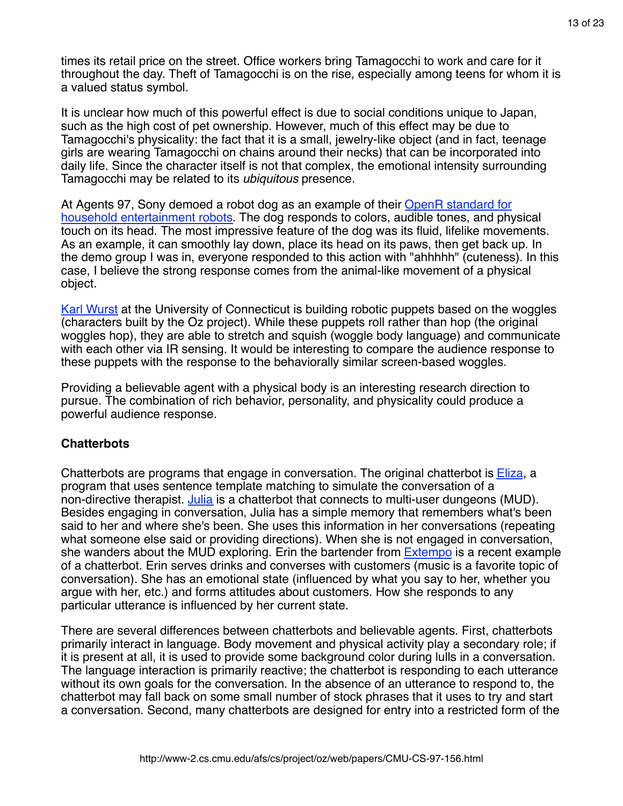times its retail price on the street. Office workers bring Tamagocchi to work and care for it throughout the day. Theft of Tamagocchi is on the rise, especially among teens for whom it is a valued status symbol.

It is unclear how much of this powerful effect is due to social conditions unique to Japan, such as the high cost of pet ownership. However, much of this effect may be due to Tamagocchi's physicality: the fact that it is a small, jewelry-like object (and in fact, teenage girls are wearing Tamagocchi on chains around their necks) that can be incorporated into daily life. Since the character itself is not that complex, the emotional intensity surrounding Tamagocchi may be related to its *ubiquitous* presence.

At Agents 97, Sony demoed a robot dog as an example of their OpenR standard for household entertainment robots. The dog responds to colors, audible tones, and physical touch on its head. The most impressive feature of the dog was its fluid, lifelike movements. As an example, it can smoothly lay down, place its head on its paws, then get back up. In the demo group I was in, everyone responded to this action with "ahhhhh" (cuteness). In this case, I believe the strong response comes from the animal-like movement of a physical object.

Karl Wurst at the University of Connecticut is building robotic puppets based on the woggles (characters built by the Oz project). While these puppets roll rather than hop (the original woggles hop), they are able to stretch and squish (woggle body language) and communicate with each other via IR sensing. It would be interesting to compare the audience response to these puppets with the response to the behaviorally similar screen-based woggles.

Providing a believable agent with a physical body is an interesting research direction to pursue. The combination of rich behavior, personality, and physicality could produce a powerful audience response.

#### **Chatterbots**

Chatterbots are programs that engage in conversation. The original chatterbot is Eliza, a program that uses sentence template matching to simulate the conversation of a non-directive therapist. Julia is a chatterbot that connects to multi-user dungeons (MUD). Besides engaging in conversation, Julia has a simple memory that remembers what's been said to her and where she's been. She uses this information in her conversations (repeating what someone else said or providing directions). When she is not engaged in conversation, she wanders about the MUD exploring. Erin the bartender from Extempo is a recent example of a chatterbot. Erin serves drinks and converses with customers (music is a favorite topic of conversation). She has an emotional state (influenced by what you say to her, whether you argue with her, etc.) and forms attitudes about customers. How she responds to any particular utterance is influenced by her current state.

There are several differences between chatterbots and believable agents. First, chatterbots primarily interact in language. Body movement and physical activity play a secondary role; if it is present at all, it is used to provide some background color during lulls in a conversation. The language interaction is primarily reactive; the chatterbot is responding to each utterance without its own goals for the conversation. In the absence of an utterance to respond to, the chatterbot may fall back on some small number of stock phrases that it uses to try and start a conversation. Second, many chatterbots are designed for entry into a restricted form of the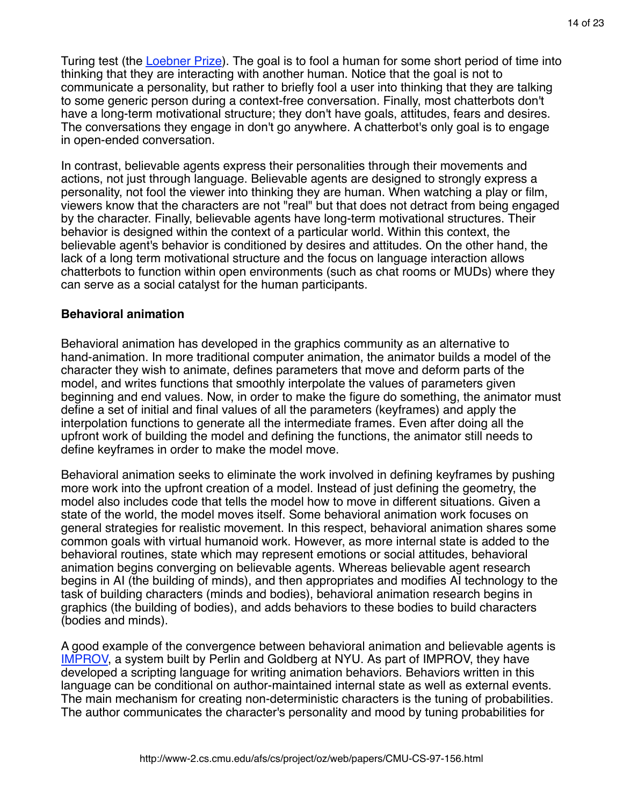Turing test (the Loebner Prize). The goal is to fool a human for some short period of time into thinking that they are interacting with another human. Notice that the goal is not to communicate a personality, but rather to briefly fool a user into thinking that they are talking to some generic person during a context-free conversation. Finally, most chatterbots don't have a long-term motivational structure; they don't have goals, attitudes, fears and desires. The conversations they engage in don't go anywhere. A chatterbot's only goal is to engage in open-ended conversation.

In contrast, believable agents express their personalities through their movements and actions, not just through language. Believable agents are designed to strongly express a personality, not fool the viewer into thinking they are human. When watching a play or film, viewers know that the characters are not "real" but that does not detract from being engaged by the character. Finally, believable agents have long-term motivational structures. Their behavior is designed within the context of a particular world. Within this context, the believable agent's behavior is conditioned by desires and attitudes. On the other hand, the lack of a long term motivational structure and the focus on language interaction allows chatterbots to function within open environments (such as chat rooms or MUDs) where they can serve as a social catalyst for the human participants.

#### **Behavioral animation**

Behavioral animation has developed in the graphics community as an alternative to hand-animation. In more traditional computer animation, the animator builds a model of the character they wish to animate, defines parameters that move and deform parts of the model, and writes functions that smoothly interpolate the values of parameters given beginning and end values. Now, in order to make the figure do something, the animator must define a set of initial and final values of all the parameters (keyframes) and apply the interpolation functions to generate all the intermediate frames. Even after doing all the upfront work of building the model and defining the functions, the animator still needs to define keyframes in order to make the model move.

Behavioral animation seeks to eliminate the work involved in defining keyframes by pushing more work into the upfront creation of a model. Instead of just defining the geometry, the model also includes code that tells the model how to move in different situations. Given a state of the world, the model moves itself. Some behavioral animation work focuses on general strategies for realistic movement. In this respect, behavioral animation shares some common goals with virtual humanoid work. However, as more internal state is added to the behavioral routines, state which may represent emotions or social attitudes, behavioral animation begins converging on believable agents. Whereas believable agent research begins in AI (the building of minds), and then appropriates and modifies AI technology to the task of building characters (minds and bodies), behavioral animation research begins in graphics (the building of bodies), and adds behaviors to these bodies to build characters (bodies and minds).

A good example of the convergence between behavioral animation and believable agents is IMPROV, a system built by Perlin and Goldberg at NYU. As part of IMPROV, they have developed a scripting language for writing animation behaviors. Behaviors written in this language can be conditional on author-maintained internal state as well as external events. The main mechanism for creating non-deterministic characters is the tuning of probabilities. The author communicates the character's personality and mood by tuning probabilities for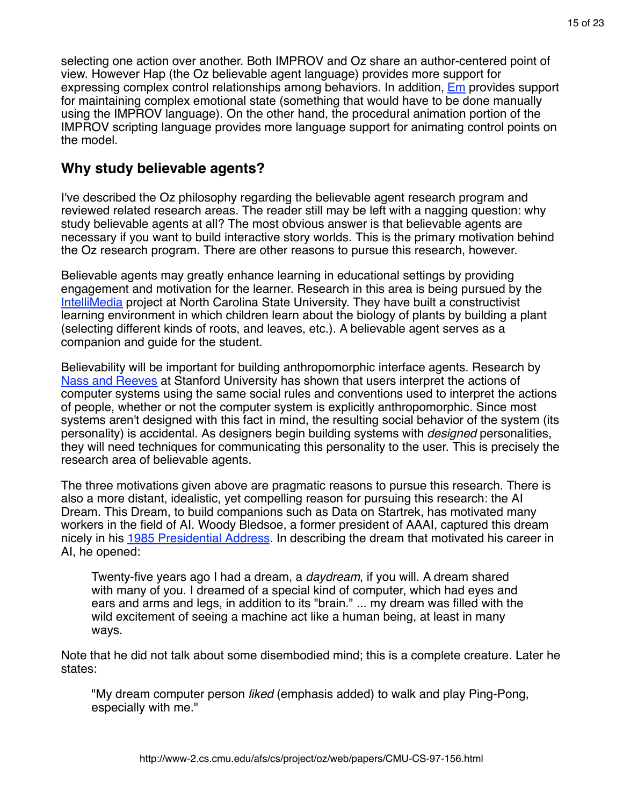selecting one action over another. Both IMPROV and Oz share an author-centered point of view. However Hap (the Oz believable agent language) provides more support for expressing complex control relationships among behaviors. In addition, Em provides support for maintaining complex emotional state (something that would have to be done manually using the IMPROV language). On the other hand, the procedural animation portion of the IMPROV scripting language provides more language support for animating control points on the model.

### **Why study believable agents?**

I've described the Oz philosophy regarding the believable agent research program and reviewed related research areas. The reader still may be left with a nagging question: why study believable agents at all? The most obvious answer is that believable agents are necessary if you want to build interactive story worlds. This is the primary motivation behind the Oz research program. There are other reasons to pursue this research, however.

Believable agents may greatly enhance learning in educational settings by providing engagement and motivation for the learner. Research in this area is being pursued by the IntelliMedia project at North Carolina State University. They have built a constructivist learning environment in which children learn about the biology of plants by building a plant (selecting different kinds of roots, and leaves, etc.). A believable agent serves as a companion and guide for the student.

Believability will be important for building anthropomorphic interface agents. Research by Nass and Reeves at Stanford University has shown that users interpret the actions of computer systems using the same social rules and conventions used to interpret the actions of people, whether or not the computer system is explicitly anthropomorphic. Since most systems aren't designed with this fact in mind, the resulting social behavior of the system (its personality) is accidental. As designers begin building systems with *designed* personalities, they will need techniques for communicating this personality to the user. This is precisely the research area of believable agents.

The three motivations given above are pragmatic reasons to pursue this research. There is also a more distant, idealistic, yet compelling reason for pursuing this research: the AI Dream. This Dream, to build companions such as Data on Startrek, has motivated many workers in the field of AI. Woody Bledsoe, a former president of AAAI, captured this dream nicely in his 1985 Presidential Address. In describing the dream that motivated his career in AI, he opened:

Twenty-five years ago I had a dream, a *daydream*, if you will. A dream shared with many of you. I dreamed of a special kind of computer, which had eyes and ears and arms and legs, in addition to its "brain." ... my dream was filled with the wild excitement of seeing a machine act like a human being, at least in many ways.

Note that he did not talk about some disembodied mind; this is a complete creature. Later he states:

"My dream computer person *liked* (emphasis added) to walk and play Ping-Pong, especially with me."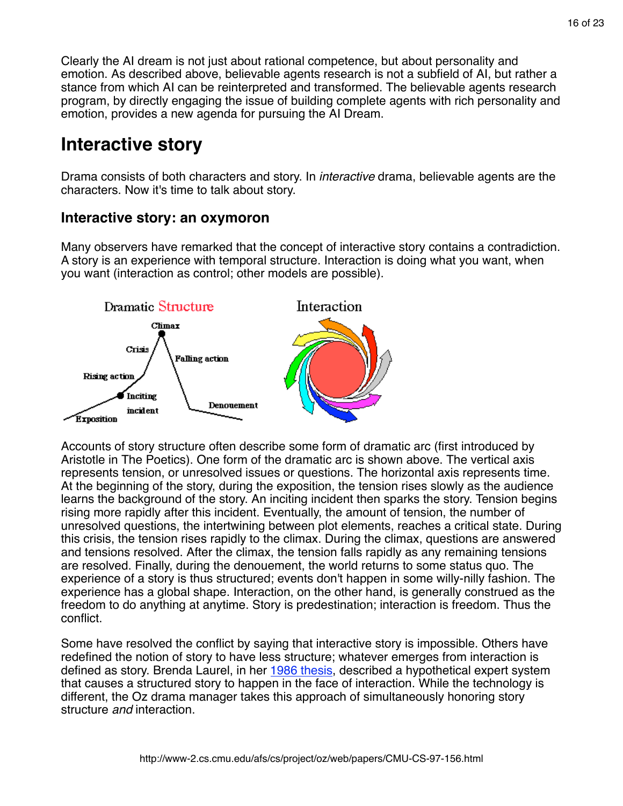Clearly the AI dream is not just about rational competence, but about personality and emotion. As described above, believable agents research is not a subfield of AI, but rather a stance from which AI can be reinterpreted and transformed. The believable agents research program, by directly engaging the issue of building complete agents with rich personality and emotion, provides a new agenda for pursuing the AI Dream.

## **Interactive story**

Drama consists of both characters and story. In *interactive* drama, believable agents are the characters. Now it's time to talk about story.

#### **Interactive story: an oxymoron**

Many observers have remarked that the concept of interactive story contains a contradiction. A story is an experience with temporal structure. Interaction is doing what you want, when you want (interaction as control; other models are possible).



Accounts of story structure often describe some form of dramatic arc (first introduced by Aristotle in The Poetics). One form of the dramatic arc is shown above. The vertical axis represents tension, or unresolved issues or questions. The horizontal axis represents time. At the beginning of the story, during the exposition, the tension rises slowly as the audience learns the background of the story. An inciting incident then sparks the story. Tension begins rising more rapidly after this incident. Eventually, the amount of tension, the number of unresolved questions, the intertwining between plot elements, reaches a critical state. During this crisis, the tension rises rapidly to the climax. During the climax, questions are answered and tensions resolved. After the climax, the tension falls rapidly as any remaining tensions are resolved. Finally, during the denouement, the world returns to some status quo. The experience of a story is thus structured; events don't happen in some willy-nilly fashion. The experience has a global shape. Interaction, on the other hand, is generally construed as the freedom to do anything at anytime. Story is predestination; interaction is freedom. Thus the conflict.

Some have resolved the conflict by saying that interactive story is impossible. Others have redefined the notion of story to have less structure; whatever emerges from interaction is defined as story. Brenda Laurel, in her 1986 thesis, described a hypothetical expert system that causes a structured story to happen in the face of interaction. While the technology is different, the Oz drama manager takes this approach of simultaneously honoring story structure *and* interaction.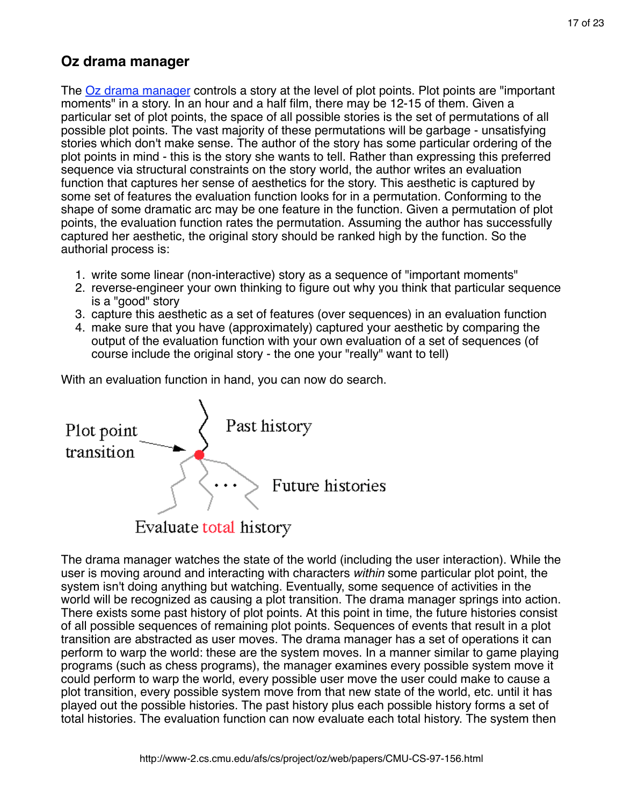### **Oz drama manager**

The Oz drama manager controls a story at the level of plot points. Plot points are "important moments" in a story. In an hour and a half film, there may be 12-15 of them. Given a particular set of plot points, the space of all possible stories is the set of permutations of all possible plot points. The vast majority of these permutations will be garbage - unsatisfying stories which don't make sense. The author of the story has some particular ordering of the plot points in mind - this is the story she wants to tell. Rather than expressing this preferred sequence via structural constraints on the story world, the author writes an evaluation function that captures her sense of aesthetics for the story. This aesthetic is captured by some set of features the evaluation function looks for in a permutation. Conforming to the shape of some dramatic arc may be one feature in the function. Given a permutation of plot points, the evaluation function rates the permutation. Assuming the author has successfully captured her aesthetic, the original story should be ranked high by the function. So the authorial process is:

- 1. write some linear (non-interactive) story as a sequence of "important moments"
- 2. reverse-engineer your own thinking to figure out why you think that particular sequence is a "good" story
- 3. capture this aesthetic as a set of features (over sequences) in an evaluation function
- make sure that you have (approximately) captured your aesthetic by comparing the 4. output of the evaluation function with your own evaluation of a set of sequences (of course include the original story - the one your "really" want to tell)

With an evaluation function in hand, you can now do search.



The drama manager watches the state of the world (including the user interaction). While the user is moving around and interacting with characters *within* some particular plot point, the system isn't doing anything but watching. Eventually, some sequence of activities in the world will be recognized as causing a plot transition. The drama manager springs into action. There exists some past history of plot points. At this point in time, the future histories consist of all possible sequences of remaining plot points. Sequences of events that result in a plot transition are abstracted as user moves. The drama manager has a set of operations it can perform to warp the world: these are the system moves. In a manner similar to game playing programs (such as chess programs), the manager examines every possible system move it could perform to warp the world, every possible user move the user could make to cause a plot transition, every possible system move from that new state of the world, etc. until it has played out the possible histories. The past history plus each possible history forms a set of total histories. The evaluation function can now evaluate each total history. The system then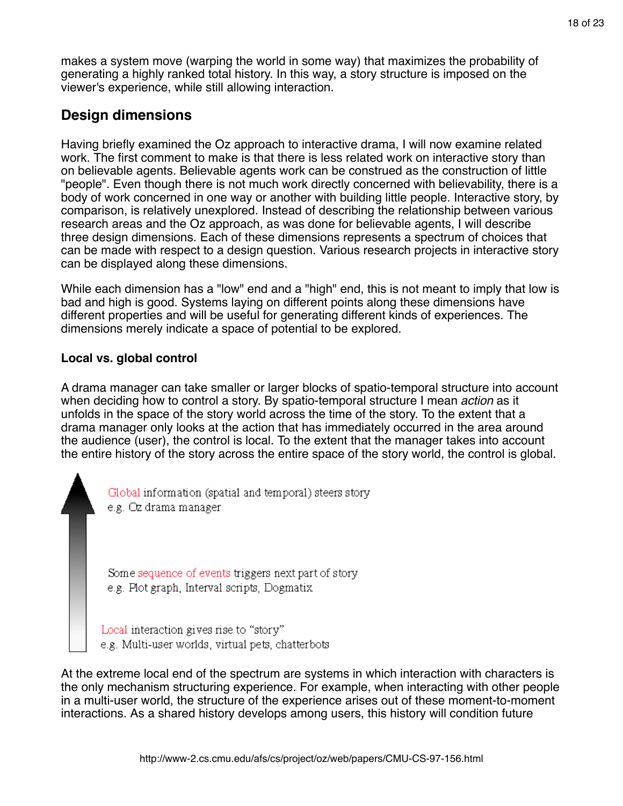makes a system move (warping the world in some way) that maximizes the probability of generating a highly ranked total history. In this way, a story structure is imposed on the viewer's experience, while still allowing interaction.

### **Design dimensions**

Having briefly examined the Oz approach to interactive drama, I will now examine related work. The first comment to make is that there is less related work on interactive story than on believable agents. Believable agents work can be construed as the construction of little "people". Even though there is not much work directly concerned with believability, there is a body of work concerned in one way or another with building little people. Interactive story, by comparison, is relatively unexplored. Instead of describing the relationship between various research areas and the Oz approach, as was done for believable agents, I will describe three design dimensions. Each of these dimensions represents a spectrum of choices that can be made with respect to a design question. Various research projects in interactive story can be displayed along these dimensions.

While each dimension has a "low" end and a "high" end, this is not meant to imply that low is bad and high is good. Systems laying on different points along these dimensions have different properties and will be useful for generating different kinds of experiences. The dimensions merely indicate a space of potential to be explored.

#### **Local vs. global control**

A drama manager can take smaller or larger blocks of spatio-temporal structure into account when deciding how to control a story. By spatio-temporal structure I mean *action* as it unfolds in the space of the story world across the time of the story. To the extent that a drama manager only looks at the action that has immediately occurred in the area around the audience (user), the control is local. To the extent that the manager takes into account the entire history of the story across the entire space of the story world, the control is global.



At the extreme local end of the spectrum are systems in which interaction with characters is the only mechanism structuring experience. For example, when interacting with other people in a multi-user world, the structure of the experience arises out of these moment-to-moment interactions. As a shared history develops among users, this history will condition future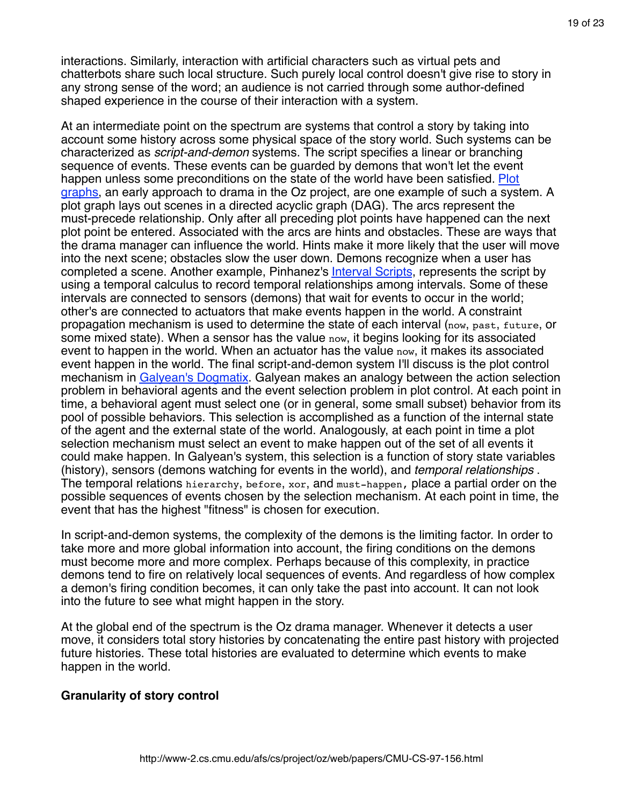interactions. Similarly, interaction with artificial characters such as virtual pets and chatterbots share such local structure. Such purely local control doesn't give rise to story in any strong sense of the word; an audience is not carried through some author-defined shaped experience in the course of their interaction with a system.

At an intermediate point on the spectrum are systems that control a story by taking into account some history across some physical space of the story world. Such systems can be characterized as *script-and-demon* systems. The script specifies a linear or branching sequence of events. These events can be guarded by demons that won't let the event happen unless some preconditions on the state of the world have been satisfied. Plot graphs, an early approach to drama in the Oz project, are one example of such a system. A plot graph lays out scenes in a directed acyclic graph (DAG). The arcs represent the must-precede relationship. Only after all preceding plot points have happened can the next plot point be entered. Associated with the arcs are hints and obstacles. These are ways that the drama manager can influence the world. Hints make it more likely that the user will move into the next scene; obstacles slow the user down. Demons recognize when a user has completed a scene. Another example, Pinhanez's Interval Scripts, represents the script by using a temporal calculus to record temporal relationships among intervals. Some of these intervals are connected to sensors (demons) that wait for events to occur in the world; other's are connected to actuators that make events happen in the world. A constraint propagation mechanism is used to determine the state of each interval (now, past, future, or some mixed state). When a sensor has the value  $_{\text{now}}$ , it begins looking for its associated event to happen in the world. When an actuator has the value now, it makes its associated event happen in the world. The final script-and-demon system I'll discuss is the plot control mechanism in Galyean's Dogmatix. Galyean makes an analogy between the action selection problem in behavioral agents and the event selection problem in plot control. At each point in time, a behavioral agent must select one (or in general, some small subset) behavior from its pool of possible behaviors. This selection is accomplished as a function of the internal state of the agent and the external state of the world. Analogously, at each point in time a plot selection mechanism must select an event to make happen out of the set of all events it could make happen. In Galyean's system, this selection is a function of story state variables (history), sensors (demons watching for events in the world), and *temporal relationships* . The temporal relations hierarchy, before, xor, and must-happen, place a partial order on the possible sequences of events chosen by the selection mechanism. At each point in time, the event that has the highest "fitness" is chosen for execution.

In script-and-demon systems, the complexity of the demons is the limiting factor. In order to take more and more global information into account, the firing conditions on the demons must become more and more complex. Perhaps because of this complexity, in practice demons tend to fire on relatively local sequences of events. And regardless of how complex a demon's firing condition becomes, it can only take the past into account. It can not look into the future to see what might happen in the story.

At the global end of the spectrum is the Oz drama manager. Whenever it detects a user move, it considers total story histories by concatenating the entire past history with projected future histories. These total histories are evaluated to determine which events to make happen in the world.

#### **Granularity of story control**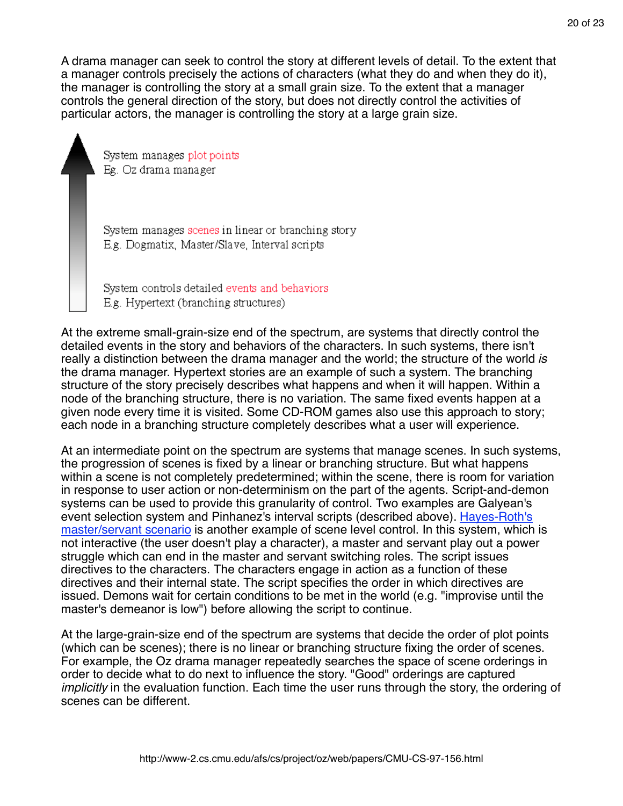A drama manager can seek to control the story at different levels of detail. To the extent that a manager controls precisely the actions of characters (what they do and when they do it), the manager is controlling the story at a small grain size. To the extent that a manager controls the general direction of the story, but does not directly control the activities of particular actors, the manager is controlling the story at a large grain size.

System manages plot points Eg. Oz drama manager

System manages scenes in linear or branching story E.g. Dogmatix, Master/Slave, Interval scripts

System controls detailed events and behaviors E.g. Hypertext (branching structures)

At the extreme small-grain-size end of the spectrum, are systems that directly control the detailed events in the story and behaviors of the characters. In such systems, there isn't really a distinction between the drama manager and the world; the structure of the world *is* the drama manager. Hypertext stories are an example of such a system. The branching structure of the story precisely describes what happens and when it will happen. Within a node of the branching structure, there is no variation. The same fixed events happen at a given node every time it is visited. Some CD-ROM games also use this approach to story; each node in a branching structure completely describes what a user will experience.

At an intermediate point on the spectrum are systems that manage scenes. In such systems, the progression of scenes is fixed by a linear or branching structure. But what happens within a scene is not completely predetermined; within the scene, there is room for variation in response to user action or non-determinism on the part of the agents. Script-and-demon systems can be used to provide this granularity of control. Two examples are Galyean's event selection system and Pinhanez's interval scripts (described above). Hayes-Roth's master/servant scenario is another example of scene level control. In this system, which is not interactive (the user doesn't play a character), a master and servant play out a power struggle which can end in the master and servant switching roles. The script issues directives to the characters. The characters engage in action as a function of these directives and their internal state. The script specifies the order in which directives are issued. Demons wait for certain conditions to be met in the world (e.g. "improvise until the master's demeanor is low") before allowing the script to continue.

At the large-grain-size end of the spectrum are systems that decide the order of plot points (which can be scenes); there is no linear or branching structure fixing the order of scenes. For example, the Oz drama manager repeatedly searches the space of scene orderings in order to decide what to do next to influence the story. "Good" orderings are captured *implicitly* in the evaluation function. Each time the user runs through the story, the ordering of scenes can be different.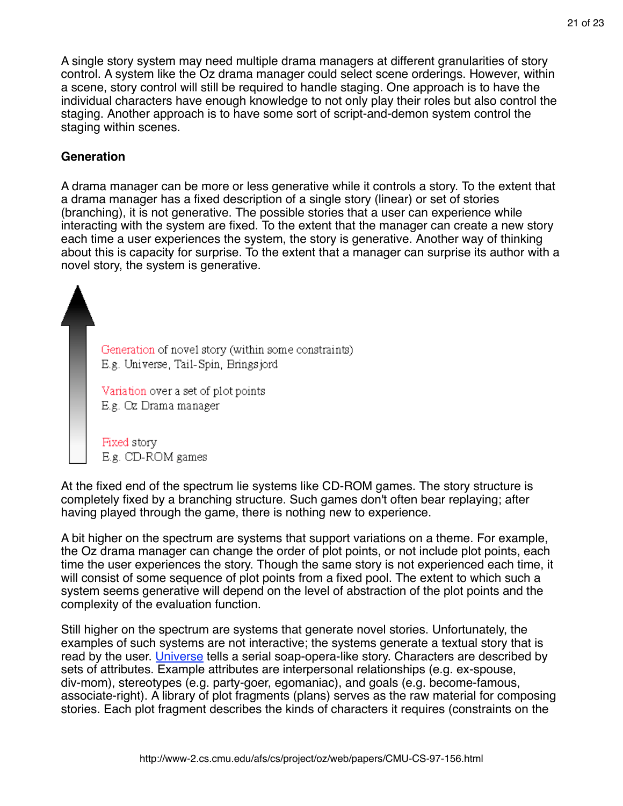A single story system may need multiple drama managers at different granularities of story control. A system like the Oz drama manager could select scene orderings. However, within a scene, story control will still be required to handle staging. One approach is to have the individual characters have enough knowledge to not only play their roles but also control the staging. Another approach is to have some sort of script-and-demon system control the staging within scenes.

#### **Generation**

A drama manager can be more or less generative while it controls a story. To the extent that a drama manager has a fixed description of a single story (linear) or set of stories (branching), it is not generative. The possible stories that a user can experience while interacting with the system are fixed. To the extent that the manager can create a new story each time a user experiences the system, the story is generative. Another way of thinking about this is capacity for surprise. To the extent that a manager can surprise its author with a novel story, the system is generative.

Generation of novel story (within some constraints) E.g. Universe, Tail-Spin, Bringsjord

Variation over a set of plot points E.g. Oz Drama manager

Fixed story E.g. CD-ROM games

At the fixed end of the spectrum lie systems like CD-ROM games. The story structure is completely fixed by a branching structure. Such games don't often bear replaying; after having played through the game, there is nothing new to experience.

A bit higher on the spectrum are systems that support variations on a theme. For example, the Oz drama manager can change the order of plot points, or not include plot points, each time the user experiences the story. Though the same story is not experienced each time, it will consist of some sequence of plot points from a fixed pool. The extent to which such a system seems generative will depend on the level of abstraction of the plot points and the complexity of the evaluation function.

Still higher on the spectrum are systems that generate novel stories. Unfortunately, the examples of such systems are not interactive; the systems generate a textual story that is read by the user. Universe tells a serial soap-opera-like story. Characters are described by sets of attributes. Example attributes are interpersonal relationships (e.g. ex-spouse, div-mom), stereotypes (e.g. party-goer, egomaniac), and goals (e.g. become-famous, associate-right). A library of plot fragments (plans) serves as the raw material for composing stories. Each plot fragment describes the kinds of characters it requires (constraints on the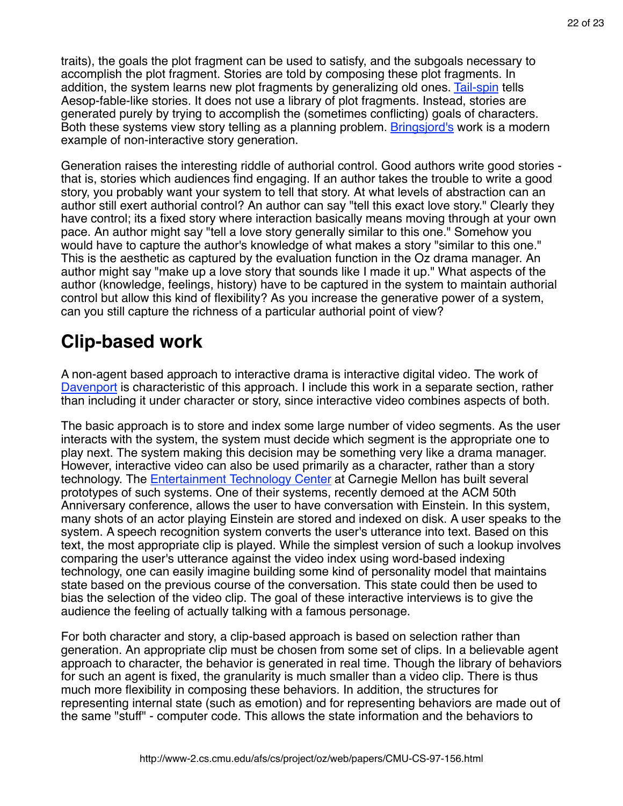traits), the goals the plot fragment can be used to satisfy, and the subgoals necessary to accomplish the plot fragment. Stories are told by composing these plot fragments. In addition, the system learns new plot fragments by generalizing old ones. Tail-spin tells Aesop-fable-like stories. It does not use a library of plot fragments. Instead, stories are generated purely by trying to accomplish the (sometimes conflicting) goals of characters. Both these systems view story telling as a planning problem. Bringsjord's work is a modern example of non-interactive story generation.

Generation raises the interesting riddle of authorial control. Good authors write good stories that is, stories which audiences find engaging. If an author takes the trouble to write a good story, you probably want your system to tell that story. At what levels of abstraction can an author still exert authorial control? An author can say "tell this exact love story." Clearly they have control; its a fixed story where interaction basically means moving through at your own pace. An author might say "tell a love story generally similar to this one." Somehow you would have to capture the author's knowledge of what makes a story "similar to this one." This is the aesthetic as captured by the evaluation function in the Oz drama manager. An author might say "make up a love story that sounds like I made it up." What aspects of the author (knowledge, feelings, history) have to be captured in the system to maintain authorial control but allow this kind of flexibility? As you increase the generative power of a system, can you still capture the richness of a particular authorial point of view?

## **Clip-based work**

A non-agent based approach to interactive drama is interactive digital video. The work of Davenport is characteristic of this approach. I include this work in a separate section, rather than including it under character or story, since interactive video combines aspects of both.

The basic approach is to store and index some large number of video segments. As the user interacts with the system, the system must decide which segment is the appropriate one to play next. The system making this decision may be something very like a drama manager. However, interactive video can also be used primarily as a character, rather than a story technology. The Entertainment Technology Center at Carnegie Mellon has built several prototypes of such systems. One of their systems, recently demoed at the ACM 50th Anniversary conference, allows the user to have conversation with Einstein. In this system, many shots of an actor playing Einstein are stored and indexed on disk. A user speaks to the system. A speech recognition system converts the user's utterance into text. Based on this text, the most appropriate clip is played. While the simplest version of such a lookup involves comparing the user's utterance against the video index using word-based indexing technology, one can easily imagine building some kind of personality model that maintains state based on the previous course of the conversation. This state could then be used to bias the selection of the video clip. The goal of these interactive interviews is to give the audience the feeling of actually talking with a famous personage.

For both character and story, a clip-based approach is based on selection rather than generation. An appropriate clip must be chosen from some set of clips. In a believable agent approach to character, the behavior is generated in real time. Though the library of behaviors for such an agent is fixed, the granularity is much smaller than a video clip. There is thus much more flexibility in composing these behaviors. In addition, the structures for representing internal state (such as emotion) and for representing behaviors are made out of the same "stuff" - computer code. This allows the state information and the behaviors to